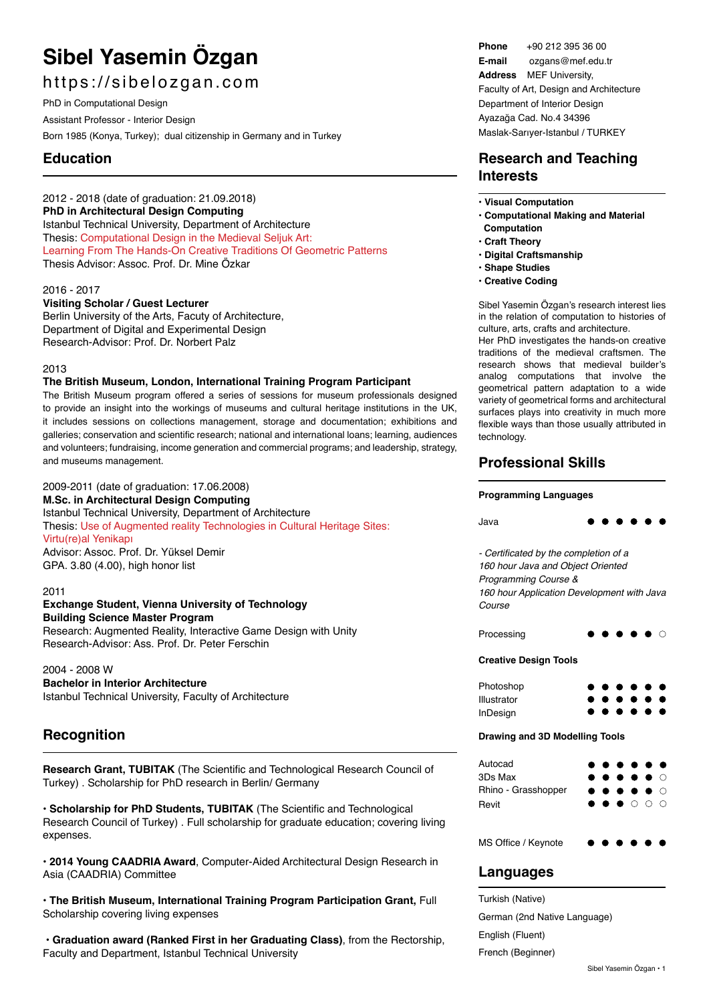# **Sibel Yasemin Özgan**

# https://sibelozgan.com

PhD in Computational Design

Assistant Professor - Interior Design

Born 1985 (Konya, Turkey); dual citizenship in Germany and in Turkey

# **Education**

2012 - 2018 (date of graduation: 21.09.2018) **PhD in Architectural Design Computing**  Istanbul Technical University, Department of Architecture Thesis: Computational Design in the Medieval Seliuk Art: Learning From The Hands-On Creative Traditions Of Geometric Patterns Thesis Advisor: Assoc. Prof. Dr. Mine Özkar

## 2016 - 2017

**Visiting Scholar / Guest Lecturer** Berlin University of the Arts, Facuty of Architecture,

Department of Digital and Experimental Design Research-Advisor: Prof. Dr. Norbert Palz

## 2013

## **The British Museum, London, International Training Program Participant**

The British Museum program offered a series of sessions for museum professionals designed to provide an insight into the workings of museums and cultural heritage institutions in the UK, it includes sessions on collections management, storage and documentation; exhibitions and galleries; conservation and scientific research; national and international loans; learning, audiences and volunteers; fundraising, income generation and commercial programs; and leadership, strategy, and museums management.

2009-2011 (date of graduation: 17.06.2008) **M.Sc. in Architectural Design Computing** Istanbul Technical University, Department of Architecture Thesis: Use of Augmented reality Technologies in Cultural Heritage Sites: Virtu(re)al Yenikapı Advisor: Assoc. Prof. Dr. Yüksel Demir GPA. 3.80 (4.00), high honor list

#### 2011

# **Exchange Student, Vienna University of Technology Building Science Master Program**

Research: Augmented Reality, Interactive Game Design with Unity Research-Advisor: Ass. Prof. Dr. Peter Ferschin

2004 - 2008 W **Bachelor in Interior Architecture**  Istanbul Technical University, Faculty of Architecture

# **Recognition**

**Research Grant, TUBITAK** (The Scientific and Technological Research Council of Turkey) . Scholarship for PhD research in Berlin/ Germany

• **Scholarship for PhD Students, TUBITAK** (The Scientific and Technological Research Council of Turkey) . Full scholarship for graduate education; covering living expenses.

• **2014 Young CAADRIA Award**, Computer-Aided Architectural Design Research in Asia (CAADRIA) Committee

• **The British Museum, International Training Program Participation Grant,** Full Scholarship covering living expenses

• **Graduation award (Ranked First in her Graduating Class)**, from the Rectorship, Faculty and Department, Istanbul Technical University

**Phone** +90 212 395 36 00 **E-mail** ozgans@mef.edu.tr **Address** MEF University, Faculty of Art, Design and Architecture Department of Interior Design Ayazağa Cad. No.4 34396 Maslak-Sarıyer-Istanbul / TURKEY

# **Research and Teaching Interests**

- **Visual Computation**
- **Computational Making and Material Computation**
- **Craft Theory**
- **Digital Craftsmanship**
- **Shape Studies**
- **Creative Coding**

Sibel Yasemin Özgan's research interest lies in the relation of computation to histories of culture, arts, crafts and architecture.

Her PhD investigates the hands-on creative traditions of the medieval craftsmen. The research shows that medieval builder's analog computations that involve the geometrical pattern adaptation to a wide variety of geometrical forms and architectural surfaces plays into creativity in much more flexible ways than those usually attributed in technology.

# **Professional Skills**

## **Programming Languages**

| Java                                                                                                                                                       |  |                |
|------------------------------------------------------------------------------------------------------------------------------------------------------------|--|----------------|
| - Certificated by the completion of a<br>160 hour Java and Object Oriented<br>Programming Course &<br>160 hour Application Development with Java<br>Course |  |                |
| Processing                                                                                                                                                 |  |                |
| <b>Creative Design Tools</b>                                                                                                                               |  |                |
| Photoshop<br>Illustrator<br><b>InDesign</b>                                                                                                                |  |                |
| Drawing and 3D Modelling Tools                                                                                                                             |  |                |
| Autocad<br>3Ds Max<br>Rhino - Grasshopper<br>Revit                                                                                                         |  | ∩<br>। ∩<br>ററ |
| MS Office / Kevnote                                                                                                                                        |  |                |

# **Languages**

Turkish (Native) German (2nd Native Language) English (Fluent) French (Beginner)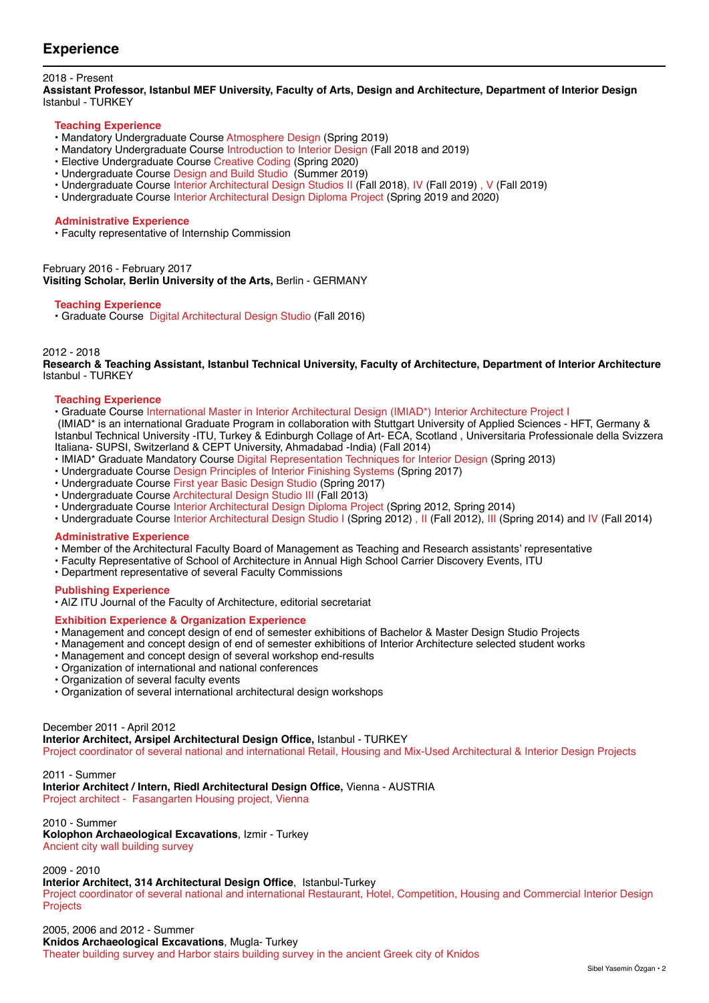# **Experience**

## 2018 - Present

**Assistant Professor, Istanbul MEF University, Faculty of Arts, Design and Architecture, Department of Interior Design** Istanbul - TURKEY

#### **Teaching Experience**

- Mandatory Undergraduate Course Atmosphere Design (Spring 2019)
- Mandatory Undergraduate Course Introduction to Interior Design (Fall 2018 and 2019)
- Elective Undergraduate Course Creative Coding (Spring 2020)
- Undergraduate Course Design and Build Studio (Summer 2019)
- Undergraduate Course Interior Architectural Design Studios II (Fall 2018), IV (Fall 2019), V (Fall 2019)
- Undergraduate Course Interior Architectural Design Diploma Project (Spring 2019 and 2020)

#### **Administrative Experience**

• Faculty representative of Internship Commission

February 2016 - February 2017 **Visiting Scholar, Berlin University of the Arts,** Berlin - GERMANY

#### **Teaching Experience**

• Graduate Course Digital Architectural Design Studio (Fall 2016)

#### 2012 - 2018

**Research & Teaching Assistant, Istanbul Technical University, Faculty of Architecture, Department of Interior Architecture** Istanbul - TURKEY

#### **Teaching Experience**

• Graduate Course International Master in Interior Architectural Design (IMIAD\*) Interior Architecture Project I

 (IMIAD\* is an international Graduate Program in collaboration with Stuttgart University of Applied Sciences - HFT, Germany & Istanbul Technical University -ITU, Turkey & Edinburgh Collage of Art- ECA, Scotland , Universitaria Professionale della Svizzera Italiana- SUPSI, Switzerland & CEPT University, Ahmadabad -India) (Fall 2014)

- IMIAD\* Graduate Mandatory Course Digital Representation Techniques for Interior Design (Spring 2013)
- Undergraduate Course Design Principles of Interior Finishing Systems (Spring 2017)
- Undergraduate Course First year Basic Design Studio (Spring 2017)
- Undergraduate Course Architectural Design Studio III (Fall 2013)
- Undergraduate Course Interior Architectural Design Diploma Project (Spring 2012, Spring 2014)
- Undergraduate Course Interior Architectural Design Studio I (Spring 2012) , II (Fall 2012), III (Spring 2014) and IV (Fall 2014)

#### **Administrative Experience**

- Member of the Architectural Faculty Board of Management as Teaching and Research assistants' representative
- Faculty Representative of School of Architecture in Annual High School Carrier Discovery Events, ITU
- Department representative of several Faculty Commissions

#### **Publishing Experience**

• A|Z ITU Journal of the Faculty of Architecture, editorial secretariat

## **Exhibition Experience & Organization Experience**

- Management and concept design of end of semester exhibitions of Bachelor & Master Design Studio Projects
- Management and concept design of end of semester exhibitions of Interior Architecture selected student works
- Management and concept design of several workshop end-results
- Organization of international and national conferences
- Organization of several faculty events
- Organization of several international architectural design workshops

#### December 2011 - April 2012

**Interior Architect, Arsipel Architectural Design Office,** Istanbul - TURKEY Project coordinator of several national and international Retail, Housing and Mix-Used Architectural & Interior Design Projects

2011 - Summer **Interior Architect / Intern, Riedl Architectural Design Office,** Vienna - AUSTRIA Project architect - Fasangarten Housing project, Vienna

2010 - Summer **Kolophon Archaeological Excavations**, Izmir - Turkey Ancient city wall building survey

2009 - 2010

#### **Interior Architect, 314 Architectural Design Office**, Istanbul-Turkey

Project coordinator of several national and international Restaurant, Hotel, Competition, Housing and Commercial Interior Design Projects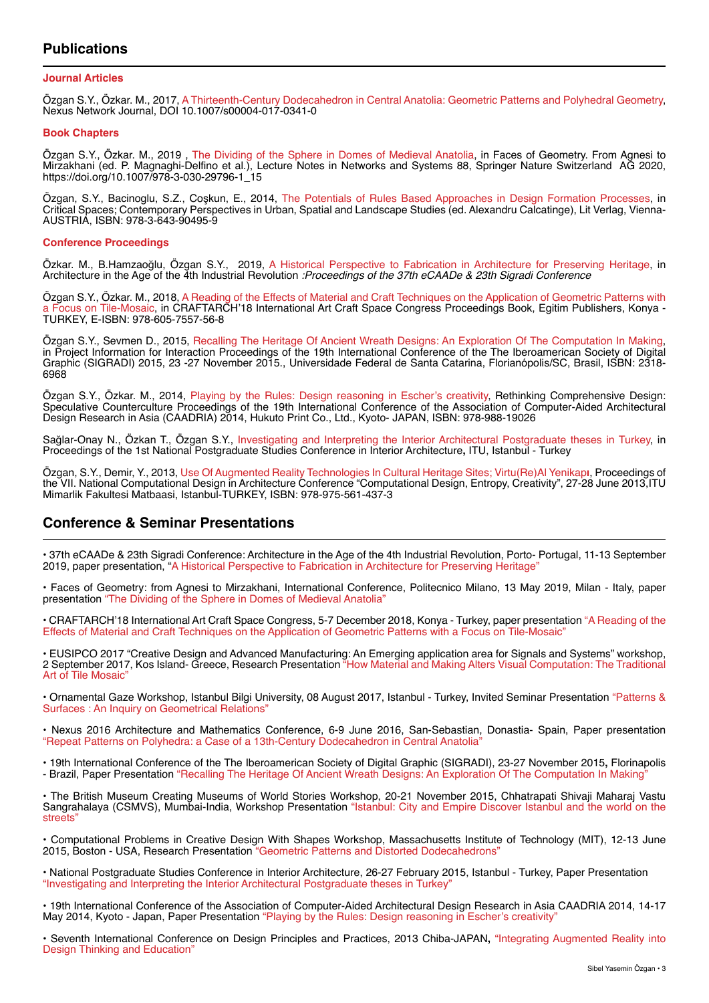# **Publications**

#### **Journal Articles**

Özgan S.Y., Özkar. M., 2017, A Thirteenth-Century Dodecahedron in Central Anatolia: Geometric Patterns and Polyhedral Geometry, Nexus Network Journal, DOI 10.1007/s00004-017-0341-0

#### **Book Chapters**

Özgan S.Y., Özkar. M., 2019 , The Dividing of the Sphere in Domes of Medieval Anatolia, in Faces of Geometry. From Agnesi to Mirzakhani (ed. P. Magnaghi-Delfino et al.), Lecture Notes in Networks and Systems 88, Springer Nature Switzerland AG 2020, https://doi.org/10.1007/978-3-030-29796-1\_15

Özgan, S.Y., Bacinoglu, S.Z., Coşkun, E., 2014, The Potentials of Rules Based Approaches in Design Formation Processes, in Critical Spaces; Contemporary Perspectives in Urban, Spatial and Landscape Studies (ed. Alexandru Calcatinge), Lit Verlag, Vienna-AUSTRIA, ISBN: 978-3-643-90495-9

#### **Conference Proceedings**

Özkar. M., B.Hamzaoğlu, Özgan S.Y., 2019, A Historical Perspective to Fabrication in Architecture for Preserving Heritage, in Architecture in the Age of the 4th Industrial Revolution :Proceedings of the 37th eCAADe & 23th Sigradi Conference

Özgan S.Y., Özkar. M., 2018, A Reading of the Effects of Material and Craft Techniques on the Application of Geometric Patterns with a Focus on Tile-Mosaic, in CRAFTARCH'18 International Art Craft Space Congress Proceedings Book, Egitim Publishers, Konya - TURKEY, E-ISBN: 978-605-7557-56-8

Özgan S.Y., Sevmen D., 2015, Recalling The Heritage Of Ancient Wreath Designs: An Exploration Of The Computation In Making, in Project Information for Interaction Proceedings of the 19th International Conference of the The Iberoamerican Society of Digital Graphic (SIGRADI) 2015, 23 -27 November 2015., Universidade Federal de Santa Catarina, Florianópolis/SC, Brasil, ISBN: 2318- 6968

Özgan S.Y., Özkar. M., 2014, Playing by the Rules: Design reasoning in Escher's creativity, Rethinking Comprehensive Design: Speculative Counterculture Proceedings of the 19th International Conference of the Association of Computer-Aided Architectural Design Research in Asia (CAADRIA) 2014, Hukuto Print Co., Ltd., Kyoto- JAPAN, ISBN: 978-988-19026

Sağlar-Onay N., Özkan T., Özgan S.Y., Investigating and Interpreting the Interior Architectural Postgraduate theses in Turkey, in Proceedings of the 1st National Postgraduate Studies Conference in Interior Architecture**,** ITU, Istanbul - Turkey

Özgan, S.Y., Demir, Y., 2013, Use Of Augmented Reality Technologies In Cultural Heritage Sites; Virtu(Re)Al Yenikap**ı**, Proceedings of the VII. National Computational Design in Architecture Conference "Computational Design, Entropy, Creativity", 27-28 June 2013,ITU Mimarlik Fakultesi Matbaasi, Istanbul-TURKEY, ISBN: 978-975-561-437-3

# **Conference & Seminar Presentations**

• 37th eCAADe & 23th Sigradi Conference: Architecture in the Age of the 4th Industrial Revolution, Porto- Portugal, 11-13 September 2019, paper presentation, "A Historical Perspective to Fabrication in Architecture for Preserving Heritage"

• Faces of Geometry: from Agnesi to Mirzakhani, International Conference, Politecnico Milano, 13 May 2019, Milan - Italy, paper presentation "The Dividing of the Sphere in Domes of Medieval Anatolia"

• CRAFTARCH'18 International Art Craft Space Congress, 5-7 December 2018, Konya - Turkey, paper presentation "A Reading of the Effects of Material and Craft Techniques on the Application of Geometric Patterns with a Focus on Tile-Mosaic"

• EUSIPCO 2017 "Creative Design and Advanced Manufacturing: An Emerging application area for Signals and Systems" workshop, 2 September 2017, Kos Island- Greece, Research Presentation "How Material and Making Alters Visual Computation: The Traditional Art of Tile Mosaic"

• Ornamental Gaze Workshop, Istanbul Bilgi University, 08 August 2017, Istanbul - Turkey, Invited Seminar Presentation "Patterns & Surfaces : An Inquiry on Geometrical Relations"

• Nexus 2016 Architecture and Mathematics Conference, 6-9 June 2016, San-Sebastian, Donastia- Spain, Paper presentation "Repeat Patterns on Polyhedra: a Case of a 13th-Century Dodecahedron in Central Anatolia"

• 19th International Conference of the The Iberoamerican Society of Digital Graphic (SIGRADI), 23-27 November 2015**,** Florinapolis - Brazil, Paper Presentation "Recalling The Heritage Of Ancient Wreath Designs: An Exploration Of The Computation In Making

• The British Museum Creating Museums of World Stories Workshop, 20-21 November 2015, Chhatrapati Shivaji Maharaj Vastu Sangrahalaya (CSMVS), Mumbai-India, Workshop Presentation "Istanbul: City and Empire Discover Istanbul and the world on the streets"

• Computational Problems in Creative Design With Shapes Workshop, Massachusetts Institute of Technology (MIT), 12-13 June 2015, Boston - USA, Research Presentation "Geometric Patterns and Distorted Dodecahedrons"

• National Postgraduate Studies Conference in Interior Architecture, 26-27 February 2015, Istanbul - Turkey, Paper Presentation "Investigating and Interpreting the Interior Architectural Postgraduate theses in Turkey"

• 19th International Conference of the Association of Computer-Aided Architectural Design Research in Asia CAADRIA 2014, 14-17 May 2014, Kyoto - Japan, Paper Presentation "Playing by the Rules: Design reasoning in Escher's creativity

• Seventh International Conference on Design Principles and Practices, 2013 Chiba-JAPAN**,** "Integrating Augmented Reality into Design Thinking and Education"